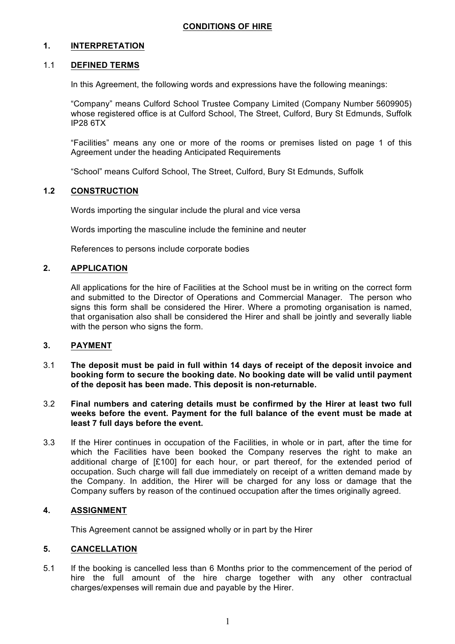# **1. INTERPRETATION**

# 1.1 **DEFINED TERMS**

In this Agreement, the following words and expressions have the following meanings:

"Company" means Culford School Trustee Company Limited (Company Number 5609905) whose registered office is at Culford School, The Street, Culford, Bury St Edmunds, Suffolk IP28 6TX

"Facilities" means any one or more of the rooms or premises listed on page 1 of this Agreement under the heading Anticipated Requirements

"School" means Culford School, The Street, Culford, Bury St Edmunds, Suffolk

### **1.2 CONSTRUCTION**

Words importing the singular include the plural and vice versa

Words importing the masculine include the feminine and neuter

References to persons include corporate bodies

### **2. APPLICATION**

All applications for the hire of Facilities at the School must be in writing on the correct form and submitted to the Director of Operations and Commercial Manager. The person who signs this form shall be considered the Hirer. Where a promoting organisation is named, that organisation also shall be considered the Hirer and shall be jointly and severally liable with the person who signs the form.

# **3. PAYMENT**

- 3.1 **The deposit must be paid in full within 14 days of receipt of the deposit invoice and booking form to secure the booking date. No booking date will be valid until payment of the deposit has been made. This deposit is non-returnable.**
- 3.2 **Final numbers and catering details must be confirmed by the Hirer at least two full weeks before the event. Payment for the full balance of the event must be made at least 7 full days before the event.**
- 3.3 If the Hirer continues in occupation of the Facilities, in whole or in part, after the time for which the Facilities have been booked the Company reserves the right to make an additional charge of  $[£100]$  for each hour, or part thereof, for the extended period of occupation. Such charge will fall due immediately on receipt of a written demand made by the Company. In addition, the Hirer will be charged for any loss or damage that the Company suffers by reason of the continued occupation after the times originally agreed.

# **4. ASSIGNMENT**

This Agreement cannot be assigned wholly or in part by the Hirer

# **5. CANCELLATION**

5.1 If the booking is cancelled less than 6 Months prior to the commencement of the period of hire the full amount of the hire charge together with any other contractual charges/expenses will remain due and payable by the Hirer.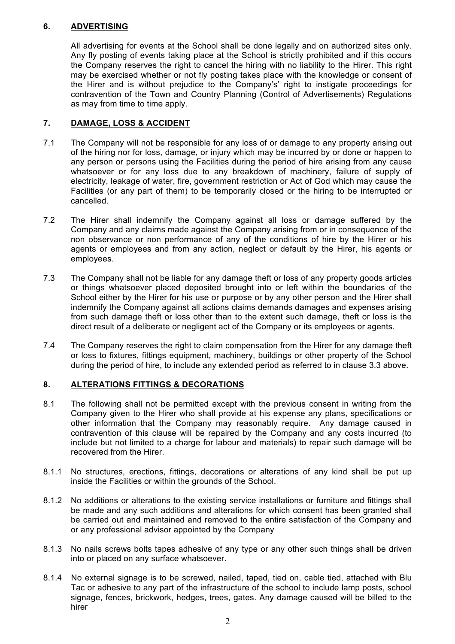# **6. ADVERTISING**

All advertising for events at the School shall be done legally and on authorized sites only. Any fly posting of events taking place at the School is strictly prohibited and if this occurs the Company reserves the right to cancel the hiring with no liability to the Hirer. This right may be exercised whether or not fly posting takes place with the knowledge or consent of the Hirer and is without prejudice to the Company's' right to instigate proceedings for contravention of the Town and Country Planning (Control of Advertisements) Regulations as may from time to time apply.

# **7. DAMAGE, LOSS & ACCIDENT**

- 7.1 The Company will not be responsible for any loss of or damage to any property arising out of the hiring nor for loss, damage, or injury which may be incurred by or done or happen to any person or persons using the Facilities during the period of hire arising from any cause whatsoever or for any loss due to any breakdown of machinery, failure of supply of electricity, leakage of water, fire, government restriction or Act of God which may cause the Facilities (or any part of them) to be temporarily closed or the hiring to be interrupted or cancelled.
- 7.2 The Hirer shall indemnify the Company against all loss or damage suffered by the Company and any claims made against the Company arising from or in consequence of the non observance or non performance of any of the conditions of hire by the Hirer or his agents or employees and from any action, neglect or default by the Hirer, his agents or employees.
- 7.3 The Company shall not be liable for any damage theft or loss of any property goods articles or things whatsoever placed deposited brought into or left within the boundaries of the School either by the Hirer for his use or purpose or by any other person and the Hirer shall indemnify the Company against all actions claims demands damages and expenses arising from such damage theft or loss other than to the extent such damage, theft or loss is the direct result of a deliberate or negligent act of the Company or its employees or agents.
- 7.4 The Company reserves the right to claim compensation from the Hirer for any damage theft or loss to fixtures, fittings equipment, machinery, buildings or other property of the School during the period of hire, to include any extended period as referred to in clause 3.3 above.

# **8. ALTERATIONS FITTINGS & DECORATIONS**

- 8.1 The following shall not be permitted except with the previous consent in writing from the Company given to the Hirer who shall provide at his expense any plans, specifications or other information that the Company may reasonably require. Any damage caused in contravention of this clause will be repaired by the Company and any costs incurred (to include but not limited to a charge for labour and materials) to repair such damage will be recovered from the Hirer.
- 8.1.1 No structures, erections, fittings, decorations or alterations of any kind shall be put up inside the Facilities or within the grounds of the School.
- 8.1.2 No additions or alterations to the existing service installations or furniture and fittings shall be made and any such additions and alterations for which consent has been granted shall be carried out and maintained and removed to the entire satisfaction of the Company and or any professional advisor appointed by the Company
- 8.1.3 No nails screws bolts tapes adhesive of any type or any other such things shall be driven into or placed on any surface whatsoever.
- 8.1.4 No external signage is to be screwed, nailed, taped, tied on, cable tied, attached with Blu Tac or adhesive to any part of the infrastructure of the school to include lamp posts, school signage, fences, brickwork, hedges, trees, gates. Any damage caused will be billed to the hirer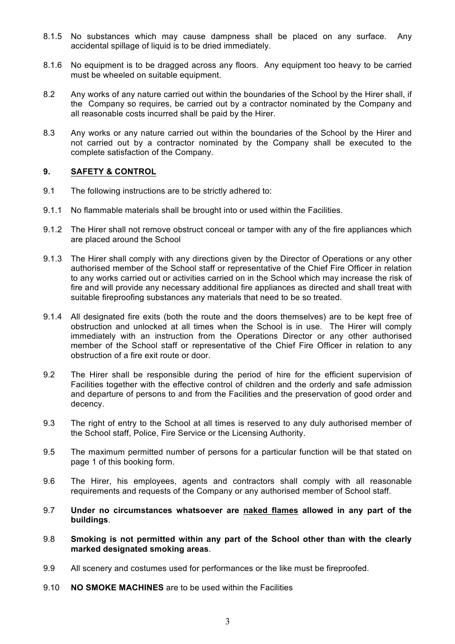- 8.1.5 No substances which may cause dampness shall be placed on any surface. Any accidental spillage of liquid is to be dried immediately.
- 8.1.6 No equipment is to be dragged across any floors. Any equipment too heavy to be carried must be wheeled on suitable equipment.
- 8.2 Any works of any nature carried out within the boundaries of the School by the Hirer shall, if the Company so requires, be carried out by a contractor nominated by the Company and all reasonable costs incurred shall be paid by the Hirer.
- 8.3 Any works or any nature carried out within the boundaries of the School by the Hirer and not carried out by a contractor nominated by the Company shall be executed to the complete satisfaction of the Company.

# **9. SAFETY & CONTROL**

- 9.1 The following instructions are to be strictly adhered to:
- 9.1.1 No flammable materials shall be brought into or used within the Facilities.
- 9.1.2 The Hirer shall not remove obstruct conceal or tamper with any of the fire appliances which are placed around the School
- 9.1.3 The Hirer shall comply with any directions given by the Director of Operations or any other authorised member of the School staff or representative of the Chief Fire Officer in relation to any works carried out or activities carried on in the School which may increase the risk of fire and will provide any necessary additional fire appliances as directed and shall treat with suitable fireproofing substances any materials that need to be so treated.
- 9.1.4 All designated fire exits (both the route and the doors themselves) are to be kept free of obstruction and unlocked at all times when the School is in use. The Hirer will comply immediately with an instruction from the Operations Director or any other authorised member of the School staff or representative of the Chief Fire Officer in relation to any obstruction of a fire exit route or door.
- 9.2 The Hirer shall be responsible during the period of hire for the efficient supervision of Facilities together with the effective control of children and the orderly and safe admission and departure of persons to and from the Facilities and the preservation of good order and decency.
- 9.3 The right of entry to the School at all times is reserved to any duly authorised member of the School staff, Police, Fire Service or the Licensing Authority.
- 9.5 The maximum permitted number of persons for a particular function will be that stated on page 1 of this booking form.
- 9.6 The Hirer, his employees, agents and contractors shall comply with all reasonable requirements and requests of the Company or any authorised member of School staff.
- 9.7 **Under no circumstances whatsoever are naked flames allowed in any part of the buildings**.
- 9.8 **Smoking is not permitted within any part of the School other than with the clearly marked designated smoking areas**.
- 9.9 All scenery and costumes used for performances or the like must be fireproofed.
- 9.10 **NO SMOKE MACHINES** are to be used within the Facilities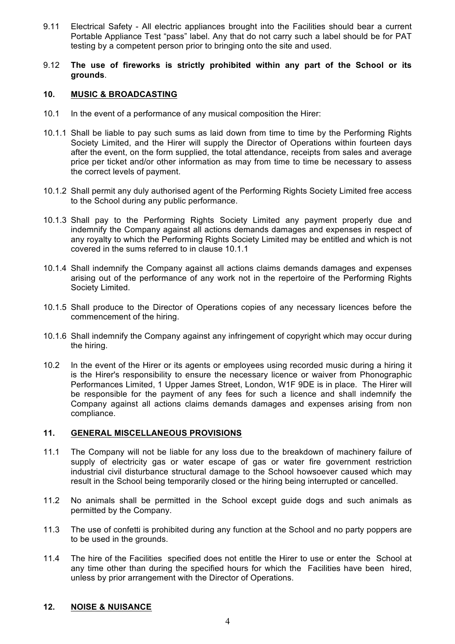- 9.11 Electrical Safety All electric appliances brought into the Facilities should bear a current Portable Appliance Test "pass" label. Any that do not carry such a label should be for PAT testing by a competent person prior to bringing onto the site and used.
- 9.12 **The use of fireworks is strictly prohibited within any part of the School or its grounds**.

#### **10. MUSIC & BROADCASTING**

- 10.1 In the event of a performance of any musical composition the Hirer:
- 10.1.1 Shall be liable to pay such sums as laid down from time to time by the Performing Rights Society Limited, and the Hirer will supply the Director of Operations within fourteen days after the event, on the form supplied, the total attendance, receipts from sales and average price per ticket and/or other information as may from time to time be necessary to assess the correct levels of payment.
- 10.1.2 Shall permit any duly authorised agent of the Performing Rights Society Limited free access to the School during any public performance.
- 10.1.3 Shall pay to the Performing Rights Society Limited any payment properly due and indemnify the Company against all actions demands damages and expenses in respect of any royalty to which the Performing Rights Society Limited may be entitled and which is not covered in the sums referred to in clause 10.1.1
- 10.1.4 Shall indemnify the Company against all actions claims demands damages and expenses arising out of the performance of any work not in the repertoire of the Performing Rights Society Limited.
- 10.1.5 Shall produce to the Director of Operations copies of any necessary licences before the commencement of the hiring.
- 10.1.6 Shall indemnify the Company against any infringement of copyright which may occur during the hiring.
- 10.2 In the event of the Hirer or its agents or employees using recorded music during a hiring it is the Hirer's responsibility to ensure the necessary licence or waiver from Phonographic Performances Limited, 1 Upper James Street, London, W1F 9DE is in place. The Hirer will be responsible for the payment of any fees for such a licence and shall indemnify the Company against all actions claims demands damages and expenses arising from non compliance.

### **11. GENERAL MISCELLANEOUS PROVISIONS**

- 11.1 The Company will not be liable for any loss due to the breakdown of machinery failure of supply of electricity gas or water escape of gas or water fire government restriction industrial civil disturbance structural damage to the School howsoever caused which may result in the School being temporarily closed or the hiring being interrupted or cancelled.
- 11.2 No animals shall be permitted in the School except guide dogs and such animals as permitted by the Company.
- 11.3 The use of confetti is prohibited during any function at the School and no party poppers are to be used in the grounds.
- 11.4 The hire of the Facilities specified does not entitle the Hirer to use or enter the School at any time other than during the specified hours for which the Facilities have been hired, unless by prior arrangement with the Director of Operations.

# **12. NOISE & NUISANCE**